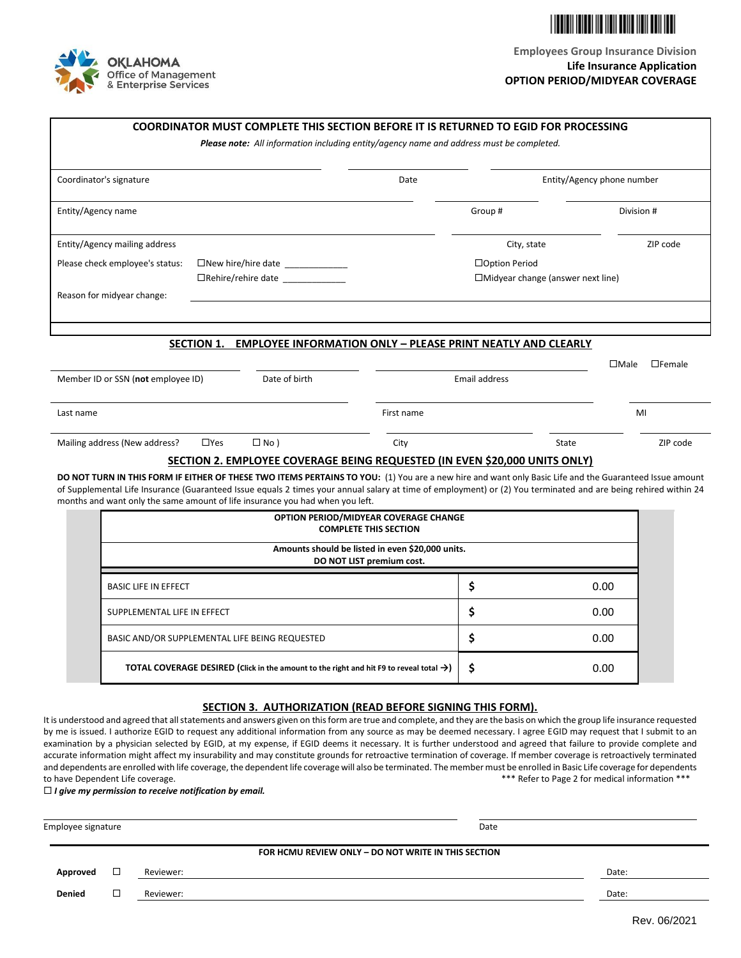



|                                                     | COORDINATOR MUST COMPLETE THIS SECTION BEFORE IT IS RETURNED TO EGID FOR PROCESSING                                                                                                                                                                                                                                                                                                                        |                                                  |                                          |              |               |
|-----------------------------------------------------|------------------------------------------------------------------------------------------------------------------------------------------------------------------------------------------------------------------------------------------------------------------------------------------------------------------------------------------------------------------------------------------------------------|--------------------------------------------------|------------------------------------------|--------------|---------------|
|                                                     | Please note: All information including entity/agency name and address must be completed.                                                                                                                                                                                                                                                                                                                   |                                                  |                                          |              |               |
| Coordinator's signature                             |                                                                                                                                                                                                                                                                                                                                                                                                            | Date                                             | Entity/Agency phone number               |              |               |
| Entity/Agency name                                  |                                                                                                                                                                                                                                                                                                                                                                                                            |                                                  | Group#                                   | Division #   |               |
| Entity/Agency mailing address                       |                                                                                                                                                                                                                                                                                                                                                                                                            |                                                  | City, state                              |              | ZIP code      |
| Please check employee's status:                     | □New hire/hire date _____________                                                                                                                                                                                                                                                                                                                                                                          |                                                  | □Option Period                           |              |               |
|                                                     | $\Box$ Rehire/rehire date                                                                                                                                                                                                                                                                                                                                                                                  |                                                  | $\Box$ Midyear change (answer next line) |              |               |
| Reason for midyear change:                          |                                                                                                                                                                                                                                                                                                                                                                                                            |                                                  |                                          |              |               |
|                                                     |                                                                                                                                                                                                                                                                                                                                                                                                            |                                                  |                                          |              |               |
|                                                     |                                                                                                                                                                                                                                                                                                                                                                                                            |                                                  |                                          |              |               |
|                                                     | <b>EMPLOYEE INFORMATION ONLY - PLEASE PRINT NEATLY AND CLEARLY</b><br><b>SECTION 1.</b>                                                                                                                                                                                                                                                                                                                    |                                                  |                                          |              |               |
|                                                     |                                                                                                                                                                                                                                                                                                                                                                                                            |                                                  |                                          | $\Box$ Male  | $\Box$ Female |
| Date of birth<br>Member ID or SSN (not employee ID) |                                                                                                                                                                                                                                                                                                                                                                                                            |                                                  | Email address                            |              |               |
|                                                     |                                                                                                                                                                                                                                                                                                                                                                                                            |                                                  |                                          |              |               |
| Last name                                           |                                                                                                                                                                                                                                                                                                                                                                                                            | First name                                       |                                          |              | MI            |
|                                                     |                                                                                                                                                                                                                                                                                                                                                                                                            |                                                  |                                          |              |               |
| Mailing address (New address?                       | $\Box$ Yes<br>$\Box$ No )                                                                                                                                                                                                                                                                                                                                                                                  | City                                             |                                          | <b>State</b> | ZIP code      |
|                                                     | SECTION 2. EMPLOYEE COVERAGE BEING REQUESTED (IN EVEN \$20,000 UNITS ONLY)                                                                                                                                                                                                                                                                                                                                 |                                                  |                                          |              |               |
|                                                     | DO NOT TURN IN THIS FORM IF EITHER OF THESE TWO ITEMS PERTAINS TO YOU: (1) You are a new hire and want only Basic Life and the Guaranteed Issue amount<br>of Supplemental Life Insurance (Guaranteed Issue equals 2 times your annual salary at time of employment) or (2) You terminated and are being rehired within 24<br>months and want only the same amount of life insurance you had when you left. |                                                  |                                          |              |               |
|                                                     |                                                                                                                                                                                                                                                                                                                                                                                                            | OPTION PERIOD/MIDYEAR COVERAGE CHANGE            |                                          |              |               |
|                                                     |                                                                                                                                                                                                                                                                                                                                                                                                            | <b>COMPLETE THIS SECTION</b>                     |                                          |              |               |
|                                                     |                                                                                                                                                                                                                                                                                                                                                                                                            | Amounts should be listed in even \$20,000 units. |                                          |              |               |
|                                                     |                                                                                                                                                                                                                                                                                                                                                                                                            | DO NOT LIST premium cost.                        |                                          |              |               |
| <b>BASIC LIFE IN EFFECT</b>                         |                                                                                                                                                                                                                                                                                                                                                                                                            |                                                  | \$                                       | 0.00         |               |
| SUPPLEMENTAL LIFE IN EFFECT                         |                                                                                                                                                                                                                                                                                                                                                                                                            |                                                  | \$                                       | 0.00         |               |
|                                                     | BASIC AND/OR SUPPLEMENTAL LIFE BEING REQUESTED                                                                                                                                                                                                                                                                                                                                                             |                                                  | \$                                       | 0.00         |               |
|                                                     | <b>TOTAL COVERAGE DESIRED</b> (Click in the amount to the right and hit F9 to reveal total $\rightarrow$ )                                                                                                                                                                                                                                                                                                 |                                                  | Ś                                        | 0.00         |               |

## **SECTION 3. AUTHORIZATION (READ BEFORE SIGNING THIS FORM).**

It is understood and agreed that all statements and answers given on this form are true and complete, and they are the basis on which the group life insurance requested by me is issued. I authorize EGID to request any additional information from any source as may be deemed necessary. I agree EGID may request that I submit to an examination by a physician selected by EGID, at my expense, if EGID deems it necessary. It is further understood and agreed that failure to provide complete and accurate information might affect my insurability and may constitute grounds for retroactive termination of coverage. If member coverage is retroactively terminated and dependents are enrolled with life coverage, the dependent life coverage will also be terminated. The member must be enrolled in Basic Life coverage for dependents to have Dependent Life coverage. The state of the state of the state of the state of the state of the state of the state of the state of the state of the state of the state of the state of the state of the state of the sta

*I give my permission to receive notification by email.*

| Employee signature |   |           | Date                                                |       |
|--------------------|---|-----------|-----------------------------------------------------|-------|
|                    |   |           | FOR HCMU REVIEW ONLY - DO NOT WRITE IN THIS SECTION |       |
| Approved           | □ | Reviewer: |                                                     | Date: |
| <b>Denied</b>      |   | Reviewer: |                                                     | Date: |